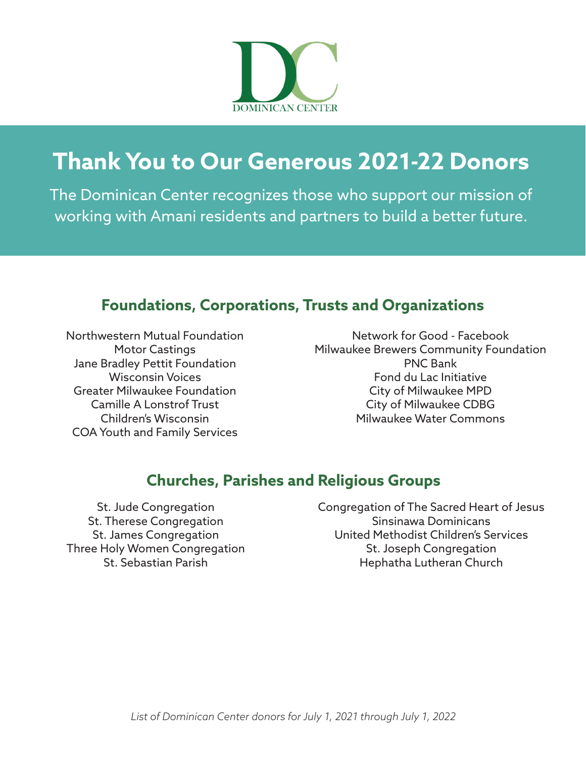

The Dominican Center recognizes those who support our mission of working with Amani residents and partners to build a better future.

#### **Foundations, Corporations, Trusts and Organizations**

Northwestern Mutual Foundation Motor Castings Jane Bradley Pettit Foundation Wisconsin Voices Greater Milwaukee Foundation Camille A Lonstrof Trust Children's Wisconsin COA Youth and Family Services

Network for Good - Facebook Milwaukee Brewers Community Foundation PNC Bank Fond du Lac Initiative City of Milwaukee MPD City of Milwaukee CDBG Milwaukee Water Commons

### **Churches, Parishes and Religious Groups**

St. Jude Congregation St. Therese Congregation St. James Congregation Three Holy Women Congregation St. Sebastian Parish

Congregation of The Sacred Heart of Jesus Sinsinawa Dominicans United Methodist Children's Services St. Joseph Congregation Hephatha Lutheran Church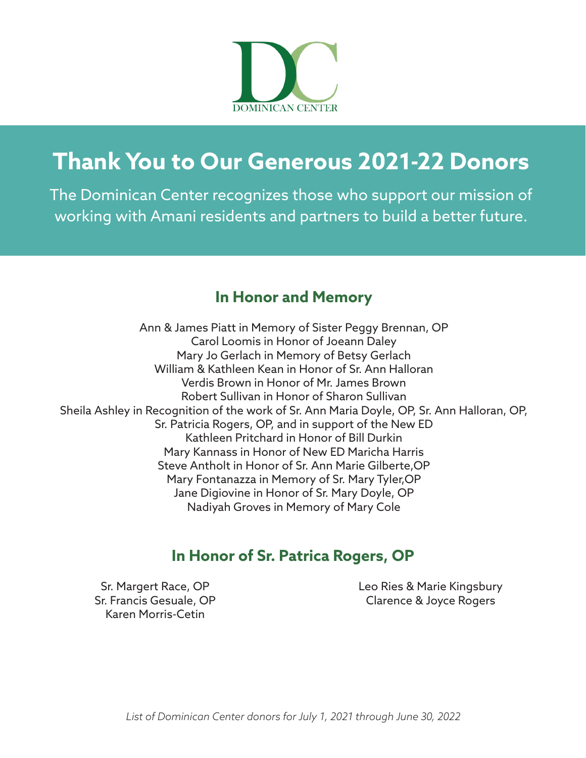

The Dominican Center recognizes those who support our mission of working with Amani residents and partners to build a better future.

### **In Honor and Memory**

Ann & James Piatt in Memory of Sister Peggy Brennan, OP Carol Loomis in Honor of Joeann Daley Mary Jo Gerlach in Memory of Betsy Gerlach William & Kathleen Kean in Honor of Sr. Ann Halloran Verdis Brown in Honor of Mr. James Brown Robert Sullivan in Honor of Sharon Sullivan Sheila Ashley in Recognition of the work of Sr. Ann Maria Doyle, OP, Sr. Ann Halloran, OP, Sr. Patricia Rogers, OP, and in support of the New ED Kathleen Pritchard in Honor of Bill Durkin Mary Kannass in Honor of New ED Maricha Harris Steve Antholt in Honor of Sr. Ann Marie Gilberte,OP Mary Fontanazza in Memory of Sr. Mary Tyler,OP Jane Digiovine in Honor of Sr. Mary Doyle, OP Nadiyah Groves in Memory of Mary Cole

### **In Honor of Sr. Patrica Rogers, OP**

Sr. Margert Race, OP Sr. Francis Gesuale, OP Karen Morris-Cetin

Leo Ries & Marie Kingsbury Clarence & Joyce Rogers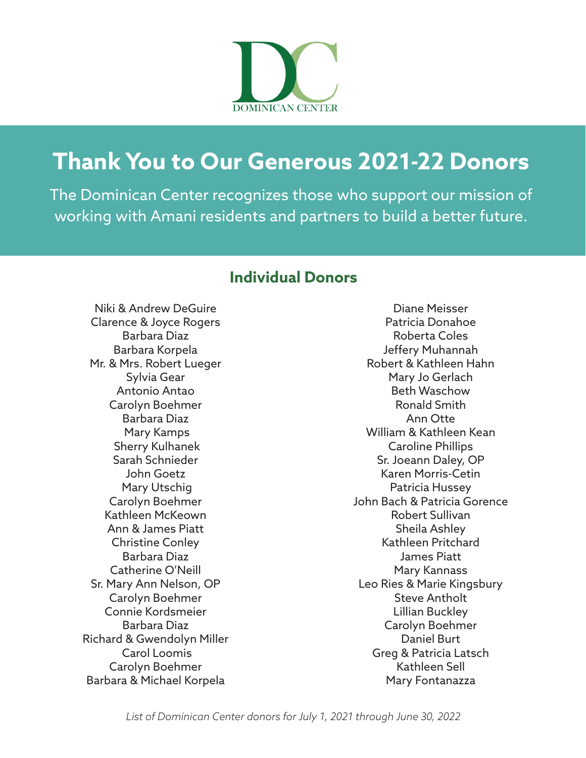

The Dominican Center recognizes those who support our mission of working with Amani residents and partners to build a better future.

#### **Individual Donors**

Niki & Andrew DeGuire Clarence & Joyce Rogers Barbara Diaz Barbara Korpela Mr. & Mrs. Robert Lueger Sylvia Gear Antonio Antao Carolyn Boehmer Barbara Diaz Mary Kamps Sherry Kulhanek Sarah Schnieder John Goetz Mary Utschig Carolyn Boehmer Kathleen McKeown Ann & James Piatt Christine Conley Barbara Diaz Catherine O'Neill Sr. Mary Ann Nelson, OP Carolyn Boehmer Connie Kordsmeier Barbara Diaz Richard & Gwendolyn Miller Carol Loomis Carolyn Boehmer Barbara & Michael Korpela

Diane Meisser Patricia Donahoe Roberta Coles Jeffery Muhannah Robert & Kathleen Hahn Mary Jo Gerlach Beth Waschow Ronald Smith Ann Otte William & Kathleen Kean Caroline Phillips Sr. Joeann Daley, OP Karen Morris-Cetin Patricia Hussey John Bach & Patricia Gorence Robert Sullivan Sheila Ashley Kathleen Pritchard James Piatt Mary Kannass Leo Ries & Marie Kingsbury Steve Antholt Lillian Buckley Carolyn Boehmer Daniel Burt Greg & Patricia Latsch Kathleen Sell Mary Fontanazza

*List of Dominican Center donors for July 1, 2021 through June 30, 2022*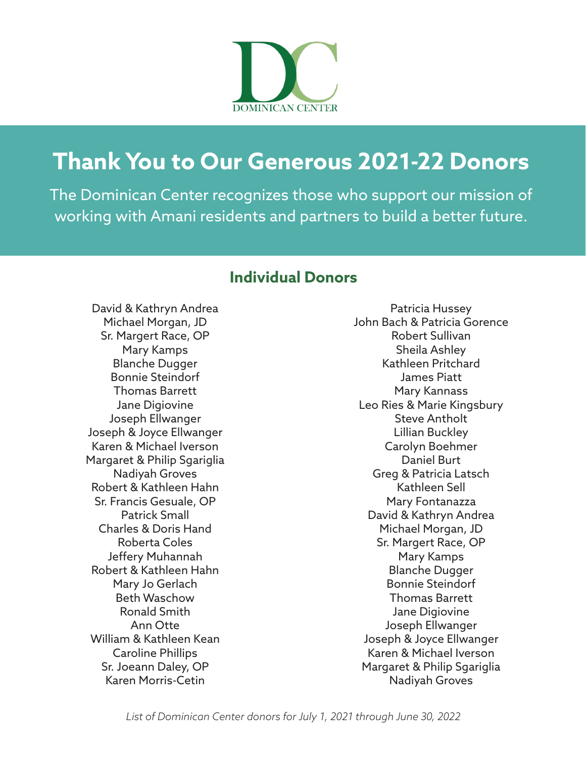

The Dominican Center recognizes those who support our mission of working with Amani residents and partners to build a better future.

#### **Individual Donors**

David & Kathryn Andrea Michael Morgan, JD Sr. Margert Race, OP Mary Kamps Blanche Dugger Bonnie Steindorf Thomas Barrett Jane Digiovine Joseph Ellwanger Joseph & Joyce Ellwanger Karen & Michael Iverson Margaret & Philip Sgariglia Nadiyah Groves Robert & Kathleen Hahn Sr. Francis Gesuale, OP Patrick Small Charles & Doris Hand Roberta Coles Jeffery Muhannah Robert & Kathleen Hahn Mary Jo Gerlach Beth Waschow Ronald Smith Ann Otte William & Kathleen Kean Caroline Phillips Sr. Joeann Daley, OP Karen Morris-Cetin

Patricia Hussey John Bach & Patricia Gorence Robert Sullivan Sheila Ashley Kathleen Pritchard James Piatt Mary Kannass Leo Ries & Marie Kingsbury Steve Antholt Lillian Buckley Carolyn Boehmer Daniel Burt Greg & Patricia Latsch Kathleen Sell Mary Fontanazza David & Kathryn Andrea Michael Morgan, JD Sr. Margert Race, OP Mary Kamps Blanche Dugger Bonnie Steindorf Thomas Barrett Jane Digiovine Joseph Ellwanger Joseph & Joyce Ellwanger Karen & Michael Iverson Margaret & Philip Sgariglia Nadiyah Groves

*List of Dominican Center donors for July 1, 2021 through June 30, 2022*